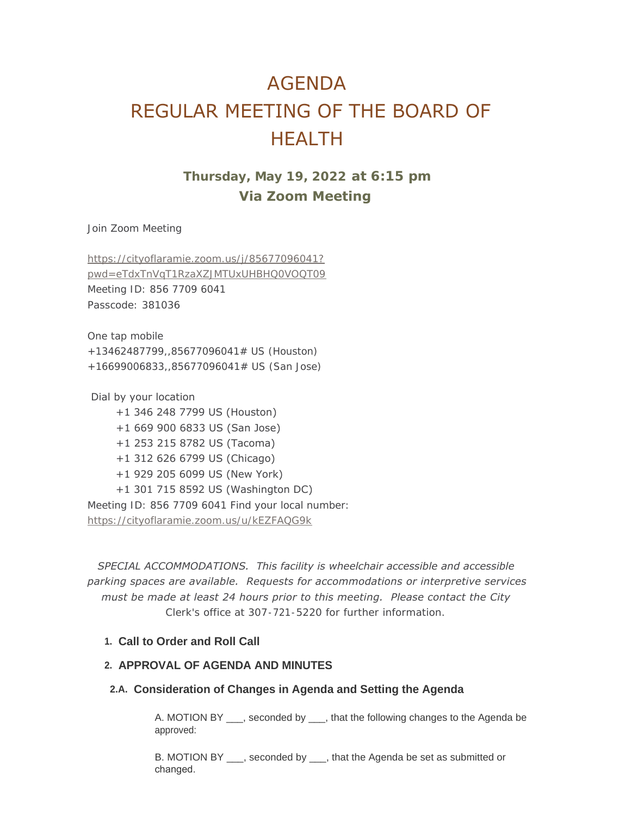# AGENDA REGULAR MEETING OF THE BOARD OF HEALTH

## **Thursday, May 19, 2022 at 6:15 pm Via Zoom Meeting**

Join Zoom Meeting

https://cityoflaramie.zoom.us/j/85677096041? [pwd=eTdxTnVqT1RzaXZJMTUxUHBHQ0VOQT09](https://cityoflaramie.zoom.us/j/85677096041?pwd=eTdxTnVqT1RzaXZJMTUxUHBHQ0VOQT09) Meeting ID: 856 7709 6041 Passcode: 381036

One tap mobile +13462487799,,85677096041# US (Houston) +16699006833,,85677096041# US (San Jose)

 Dial by your location +1 346 248 7799 US (Houston) +1 669 900 6833 US (San Jose) +1 253 215 8782 US (Tacoma) +1 312 626 6799 US (Chicago) +1 929 205 6099 US (New York) +1 301 715 8592 US (Washington DC) [Meeting ID: 856 7709 6041 Find your local n](https://cityoflaramie.zoom.us/u/kEZFAQG9k)umber: https://cityoflaramie.zoom.us/u/kEZFAQG9k

*SPECIAL ACCOMMODATIONS. This facility is wheelchair accessible and accessible parking spaces are available. Requests for accommodations or interpretive services must be made at least 24 hours prior to this meeting. Please contact the City Clerk's office at 307-721-5220 for further information.*

## **Call to Order and Roll Call 1.**

## **APPROVAL OF AGENDA AND MINUTES 2.**

## **Consideration of Changes in Agenda and Setting the Agenda 2.A.**

A. MOTION BY \_\_\_, seconded by \_\_\_, that the following changes to the Agenda be approved:

B. MOTION BY \_\_\_, seconded by \_\_\_, that the Agenda be set as submitted or changed.